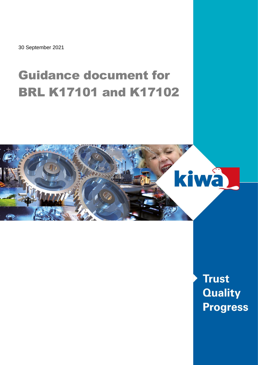30 September 2021

# Guidance document for BRL K17101 and K17102



**Trust Quality Progress**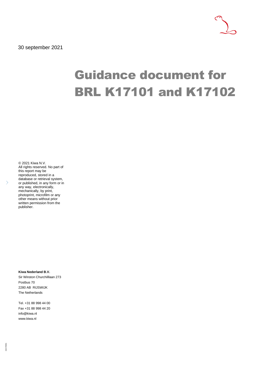30 september 2021

# Guidance document for BRL K17101 and K17102

© 2021 Kiwa N.V. All rights reserved. No part of this report may be reproduced, stored in a database or retrieval system, or published, in any form or in any way, electronically, mechanically, by print, photoprint, microfilm or any other means without prior written permission from the publisher.

**Kiwa Nederland B.V.** Sir Winston Churchilllaan 273 Postbus 70 2280 AB RIJSWIJK The Netherlands

Tel. +31 88 998 44 00 Fax +31 88 998 44 20 info@kiwa.nl www.kiwa.nl

15/170301 15/170301

 $\left\langle \right\rangle$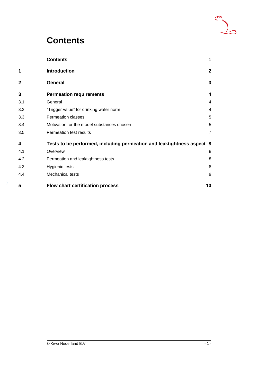### **Contents**

|     | <b>Contents</b>                                                        | 1              |
|-----|------------------------------------------------------------------------|----------------|
| 1   | <b>Introduction</b>                                                    | $\mathbf{2}$   |
| 2   | <b>General</b>                                                         | 3              |
| 3   | <b>Permeation requirements</b>                                         | 4              |
| 3.1 | General                                                                | 4              |
| 3.2 | "Trigger value" for drinking water norm                                | 4              |
| 3.3 | <b>Permeation classes</b>                                              | 5              |
| 3.4 | Motivation for the model substances chosen                             | 5              |
| 3.5 | Permeation test results                                                | $\overline{7}$ |
| 4   | Tests to be performed, including permeation and leaktightness aspect 8 |                |
| 4.1 | Overview                                                               | 8              |
| 4.2 | Permeation and leaktightness tests                                     | 8              |
| 4.3 | <b>Hygienic tests</b>                                                  | 8              |
| 4.4 | Mechanical tests                                                       | 9              |
| 5   | <b>Flow chart certification process</b>                                | 10             |
|     |                                                                        |                |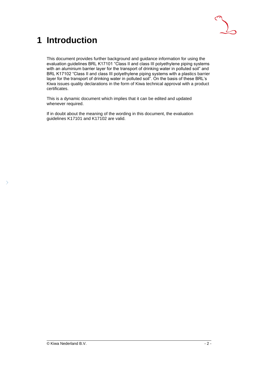

## **1 Introduction**

 $\rightarrow$ 

This document provides further background and guidance information for using the evaluation guidelines BRL K17101 "Class II and class III polyethylene piping systems with an aluminium barrier layer for the transport of drinking water in polluted soil" and BRL K17102 "Class II and class III polyethylene piping systems with a plastics barrier layer for the transport of drinking water in polluted soil". On the basis of these BRL's Kiwa issues quality declarations in the form of Kiwa technical approval with a product certificates.

This is a dynamic document which implies that it can be edited and updated whenever required.

If in doubt about the meaning of the wording in this document, the evaluation guidelines K17101 and K17102 are valid.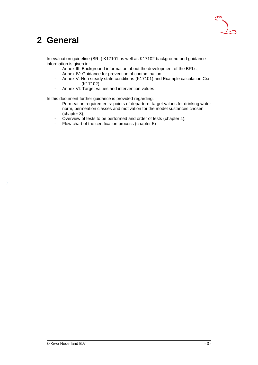

### **2 General**

 $\rightarrow$ 

In evaluation guideline (BRL) K17101 as well as K17102 background and guidance information is given in:

- Annex III: Background information about the development of the BRLs;
- Annex IV: Guidance for prevention of contamination
- Annex V: Non steady state conditions (K17101) and Example calculation C<sub>24h</sub> (K17102)
- Annex VI: Target values and intervention values

In this document further guidance is provided regarding:

- Permeation requirements: points of departure, target values for drinking water norm, permeation classes and motivation for the model sustances chosen (chapter 3);
- Overview of tests to be performed and order of tests (chapter 4);
- Flow chart of the certification process (chapter 5)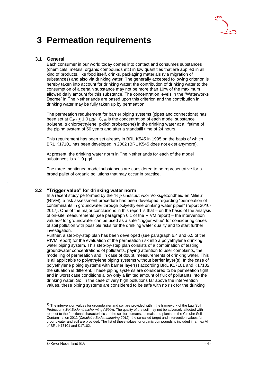

### **3 Permeation requirements**

#### **3.1 General**

Each consumer in our world today comes into contact and consumes substances (chemicals, metals, organic compounds etc) in low quantities that are applied in all kind of products, like food itself, drinks, packaging materials (via migration of substances) and also via drinking water. The generally accepted following criterion is hereby taken into account for drinking water: the contribution of drinking water to the consumption of a certain substance may not be more than 10% of the maximum allowed daily amount for this substance. The concentration levels in the "Waterworks Decree" in The Netherlands are based upon this criterion and the contribution in drinking water may be fully taken up by permeation.

The permeation requirement for barrier piping systems (pipes and connections) has been set at  $C_{24h}$  < 1.0 µg/l.  $C_{24h}$  is the concentration of each model substance (toluene, trichloroethylene, p-dichlorobenzene) in the drinking water at a lifetime of the piping system of 50 years and after a standstill time of 24 hours.

This requirement has been set already in BRL K545 in 1995 on the basis of which BRL K17101 has been developed in 2002 (BRL K545 does not exist anymore).

At present, the drinking water norm in The Netherlands for each of the model substances is  $< 1.0$  µg/l.

The three mentioned model substances are considered to be representative for a broad pallet of organic pollutions that may occur in practice.

#### **3.2 "Trigger value" for drinking water norm**

In a recent study performed by the "Rijksinstituut voor Volksgezondheid en Milieu" (RIVM), a risk assessment procedure has been developed regarding "permeation of contaminants in groundwater through polyethylene drinking water pipes" (report 2016- 2017). One of the major conclusions in this report is that – on the basis of the analysis of on-site measurements (see paragraph 6.1 of the RIVM report) – the intervention values<sup>1)</sup> for groundwater can be used as a safe "trigger value" for considering cases of soil pollution with possible risks for the drinking water quality and to start further investigation.

Further, a step-by-step plan has been developed (see paragraph 6.4 and 6.5 of the RIVM report) for the evaluation of the permeation risk into a polyethylene drinking water piping system. This step-by-step plan consists of a combination of testing groundwater concentrations of pollutants, paying attention to user complaints, the modelling of permeation and, in case of doubt, measurements of drinking water. This is all applicable to polyethylene piping systems without barrier layer(s). In the case of polyethylene piping systems with barrier layer(s) according BRL K17101 and K17102, the situation is different. These piping systems are considered to be permeation tight and in worst case conditions allow only a limited amount of flux of pollutants into the drinking water. So, in the case of very high pollutions far above the intervention values, these piping systems are considered to be safe with no risk for the drinking

 $1)$  The intervention values for groundwater and soil are provided within the framework of the Law Soil Protection (*Wet Bodembescherming (Wbb*)). The quality of the soil may not be adversely affected with respect to the functional characteristics of the soil for humans, animals and plants. In the Circular Soil Contamination 2012 (*Circulaire Bodemsanering 2012*), the so-called target and intervention values for groundwater and soil are provided. The list of these values for organic compounds is included in annex VI of BRL K17101 and K17102.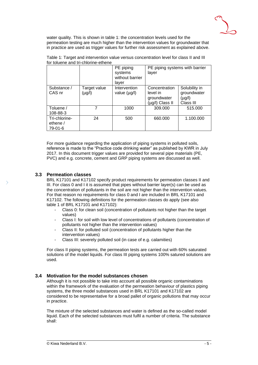

water quality. This is shown in table 1: the concentration levels used for the permeation testing are much higher than the intervention values for groundwater that in practice are used as trigger values for further risk assessment as explained above.

|                                      |                        | PE piping<br>systems<br>without barrier<br>laver | PE piping systems with barrier<br>layer                     |                                                          |
|--------------------------------------|------------------------|--------------------------------------------------|-------------------------------------------------------------|----------------------------------------------------------|
| Substance /<br>CAS nr                | Target value<br>(µg/l) | Intervention<br>value $(\mu g/l)$                | Concentration<br>level in<br>groundwater<br>(µg/l) Class II | Solubility in<br>groundwater<br>$(\mu g/l)$<br>Class III |
| Toluene /<br>108-88-3                | 7                      | 1000                                             | 309.000                                                     | 515.000                                                  |
| Tri-chlorine-<br>ethene /<br>79-01-6 | 24                     | 500                                              | 660.000                                                     | 1.100.000                                                |

Table 1: Target and intervention value versus concentration level for class II and III for toluene and tri-chlorine-ethene

For more guidance regarding the application of piping systems in polluted soils, reference is made to the "Practice code drinking water" as published by KWR in July 2017. In this document trigger values are provided for several pipe materials (PE, PVC) and e.g. concrete, cement and GRP piping systems are discussed as well.

#### **3.3 Permeation classes**

BRL K17101 and K17102 specify product requirements for permeation classes II and III. For class 0 and I it is assumed that pipes without barrier layer(s) can be used as the concentration of pollutants in the soil are not higher than the intervention values. For that reason no requirements for class 0 and I are included in BRL K17101 and K17102. The following definitions for the permeation classes do apply (see also table 1 of BRL K17101 and K17102):

- Class 0: for clean soil (concentration of pollutants not higher than the target values)
- Class I: for soil with low level of concentrations of pollutants (concentration of pollutants not higher than the intervention values)
- Class II: for polluted soil (concentration of pollutants higher than the intervention values)
- Class III: severely polluted soil (in case of e.g. calamities)

For class II piping systems, the permeation tests are carried out with 60% saturated solutions of the model liquids. For class III piping systems 100% satured solutions are used.

#### **3.4 Motivation for the model substances chosen**

Although it is not possible to take into account all possible organic contaminations within the framework of the evaluation of the permeation behaviour of plastics piping systems, the three model substances used in BRL K17101 and K17102 are considered to be representative for a broad pallet of organic pollutions that may occur in practice.

The mixture of the selected substances and water is defined as the so-called model liquid. Each of the selected substances must fulfil a number of criteria. The substance shall: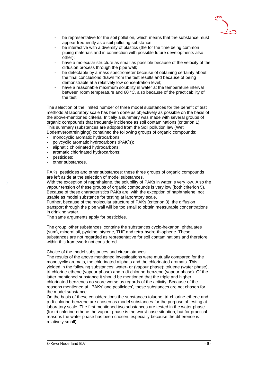

- be representative for the soil pollution, which means that the substance must appear frequently as a soil polluting substance;
- be interactive with a diversity of plastics (the for the time being common piping materials and in connection with possible future developments also other);
- have a molecular structure as small as possible because of the velocity of the diffusion process through the pipe wall;
- be detectable by a mass spectrometer because of obtaining certainty about the final conclusions drawn from the test results and because of being demonstrable at a relatively low concentration level;
- have a reasonable maximum solubility in water at the temperature interval between room temperature and 60 °C, also because of the practicability of the test.

The selection of the limited number of three model substances for the benefit of test methods at laboratory scale has been done as objectively as possible on the basis of the above-mentioned criteria. Initially a summary was made with several groups of organic compounds that frequently incidence as soil contaminations (criterion 1). This summary (substances are adopted from the Soil pollution law (Wet Bodemverontreiniging)) contained the following groups of organic compounds:

monocyclic aromatic hydrocarbons;

- polycyclic aromatic hydrocarbons (PAK´s);
- aliphatic chlorinated hydrocarbons:
- aromatic chlorinated hydrocarbons;
- pesticides;
- other substances.

PAKs, pesticides and other substances: these three groups of organic compounds are left aside at the selection of model substances.

With the exception of naphthalene, the solubility of PAKs in water is very low. Also the vapour tension of these groups of organic compounds is very low (both criterion 5). Because of these characteristics PAKs are, with the exception of naphthalene, not usable as model substance for testing at laboratory scale.

Further, because of the molecular structure of PAKs (criterion 3), the diffusion transport through the pipe wall will be too small to obtain measurable concentrations in drinking water.

The same arguments apply for pesticides.

The group 'other substances' contains the substances cyclo-hexanon, phthalates (sum), mineral oil, pyridine, styrene, THF and tetra-hydro-thiophene. These substances are not regarded as representative for soil contaminations and therefore within this framework not considered.

Choice of the model substances and circumstances:

The results of the above mentioned investigations were mutually compared for the monocyclic aromats, the chlorinated aliphats and the chlorinated aromats. This yielded in the following substances: water- or (vapour phase): toluene (water phase), tri-chlorine-ethene (vapour phase) and p-di-chlorine-benzene (vapour phase). Of the latter mentioned substance it should be mentioned that the triple and higher chlorinated benzenes do score worse as regards of the activity. Because of the reasons mentioned at ''PAKs' and pesticides', these substances are not chosen for the model substance.

On the basis of these considerations the substances toluene, tri-chlorine-ethene and p-di-chlorine-benzene are chosen as model substances for the purpose of testing at laboratory scale. The first mentioned two substances are tested in the water phase (for tri-chlorine-ethene the vapour phase is the worst-case situation, but for practical reasons the water phase has been chosen, especially because the difference is relatively small).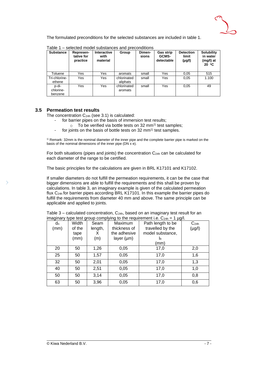

The formulated preconditions for the selected substances are included in table 1.

| <b>Substance</b>              | Represen-<br>tative for<br>practice | <b>Interactive</b><br>with<br>material | Group                   | Dimen-<br>sions | <b>Gas strip</b><br>GCMS-<br>detectable | <b>Detection</b><br>limit<br>$(\mu g/l)$ | <b>Solubility</b><br>in water<br>(mg/l) at<br>20 °C |
|-------------------------------|-------------------------------------|----------------------------------------|-------------------------|-----------------|-----------------------------------------|------------------------------------------|-----------------------------------------------------|
| Toluene                       | Yes                                 | Yes                                    | aromats                 | small           | Yes                                     | 0,05                                     | 515                                                 |
| Tri-chlorine-<br>ethene       | Yes                                 | Yes                                    | chlorinated<br>aliphats | small           | Yes                                     | 0,05                                     | 1.100                                               |
| p-di-<br>chlorine-<br>benzene | Yes                                 | Yes                                    | chlorinated<br>aromats  | small           | Yes                                     | 0,05                                     | 49                                                  |

Table 1 – selected model substances and preconditions

#### **3.5 Permeation test results**

The concentration  $C_{24h}$  (see 3.1) is calculated:

- for barrier pipes on the basis of immersion test results;
- $\circ$  To be verified via bottle tests on 32 mm<sup>1)</sup> test samples;
- for joints on the basis of bottle tests on 32 mm<sup>1)</sup> test samples.

<sup>1)</sup> Remark: 32mm is the nominal diameter of the inner pipe and the complete barrier pipe is marked on the basis of the nominal dimensions of the inner pipe  $(DN \times e)$ .

For both situations (pipes and joints) the concentration  $C_{24h}$  can be calculated for each diameter of the range to be certified.

The basic principles for the calculations are given in BRL K17101 and K17102.

If smaller diameters do not fulfill the permeation requirements, it can be the case that bigger dimensions are able to fulfill the requirements and this shall be proven by calculations. In table 3, an imaginary example is given of the calculated permeation flux C24h for barrier pipes according BRL K17101. In this example the barrier pipes do fulfill the requirements from diameter 40 mm and above. The same principle can be applicable and applied to joints.

Table  $3$  – calculated concentration,  $C_{24h}$ , based on an imaginary test result for an imaginary type test group complying to the requirement i.e.  $C_{24h} = 1 \text{ ugl.}$ 

| d <sub>n</sub> | Width  | Seam    | Maximum         | $\frac{1}{2}$ independent proportion of the complete the requirement i.e. $\sigma_{240} = 1$ pg/s.<br>Path length to be | C <sub>24h</sub> |
|----------------|--------|---------|-----------------|-------------------------------------------------------------------------------------------------------------------------|------------------|
| (mm)           | of the | length, | thickness of    | travelled by the                                                                                                        | $(\mu g/I)$      |
|                | tape   | х       | the adhesive    | model substance,                                                                                                        |                  |
|                | (mm)   | (m)     | layer $(\mu m)$ | Iь                                                                                                                      |                  |
|                |        |         |                 | (mm)                                                                                                                    |                  |
| 20             | 50     | 1,26    | 0,05            | 17,0                                                                                                                    | 2,0              |
| 25             | 50     | 1,57    | 0,05            | 17,0                                                                                                                    | 1,6              |
| 32             | 50     | 2,01    | 0,05            | 17,0                                                                                                                    | 1,3              |
| 40             | 50     | 2,51    | 0,05            | 17,0                                                                                                                    | 1,0              |
| 50             | 50     | 3,14    | 0,05            | 17,0                                                                                                                    | 0,8              |
| 63             | 50     | 3,96    | 0,05            | 17,0                                                                                                                    | 0,6              |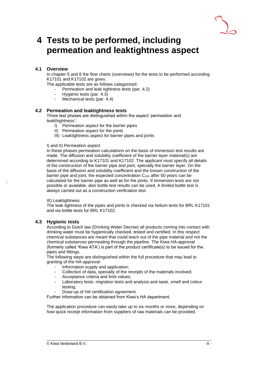

### **4 Tests to be performed, including permeation and leaktightness aspect**

### **4.1 Overview**

In chapter 5 and 6 the flow charts (overviews) for the tests to be performed according K17101 and K17102 are given.

The applicable tests are as follows categorized:

- Permeation and leak tightness tests (par. 4.2)
- Hygienic tests (par. 4.3)
- Mechanical tests (par. 4.4)

#### **4.2 Permeation and leaktightness tests**

Three test phases are distinguished within the aspect 'permeation and leakthightness':

- I) Permeation aspect for the barrier pipes
- II) Permeation aspect for the joints
- III) Leaktightness aspect for barrier pipes and joints

#### I) and II) Permeation aspect

In these phases permeation calculations on the basis of immersion test results are made. The diffusion and solubility coefficient of the barrier layer material(s) are determined according to K17101 and K17102. The applicant must specify all details of the construction of the barrier pipe and joint, specially the barrier layer. On the basis of the diffusion and solubility coefficient and the known construction of the barrier pipe and joint, the expected concentration C<sub>24h</sub> after 50 years can be calculated for the barrier pipe as well as for the joints. If immersion tests are not possible or available, also bottle test results can be used. A limited bottle test is always carried out as a construction verification test.

#### III) Leaktightness

The leak tightness of the pipes and joints is checked via helium tests for BRL K17101 and via bottle tests for BRL K17102.

#### **4.3 Hygienic tests**

According to Dutch law (Drinking Water Decree) all products coming into contact with drinking water must be hygienically checked, tested and certified. In this respect chemical substances are meant that could leach out of the pipe material and not the chemical substances permeating through the pipeline. The Kiwa HA-approval (formerly called 'Kiwa ATA') is part of the product certificate(s) to be issued for the pipes and fittings.

The following steps are distinguished within the full procedure that may lead to granting of the HA-approval:

- Information supply and application;
- Collection of data, specially of the receipts of the materials involved;
- Acceptance criteria and limit values;
- Laboratory tests: migration tests and analysis and taste, smell and colour testing;
- Draw-up of HA certification agreement.

Further information can be obtained from Kiwa's HA department.

The application procedure can easily take up to six months or more, depending on how quick receipt information from suppliers of raw materials can be provided.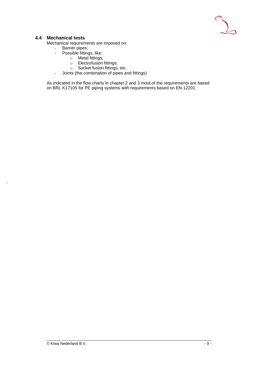

#### **4.4 Mechanical tests**

 $\rightarrow$ 

Mechanical requirements are imposed on:

- Barrier pipes;
- Possible fittings, like:
	- o Metal fittings;
	- o Electrofusion fittings;
	- o Socket fusion fittings, etc.
- Joints (the combination of pipes and fittings)

As indicated in the flow charts in chapter 2 and 3 most of the requirements are based on BRL K17105 for PE piping systems with requirements based on EN 12201.